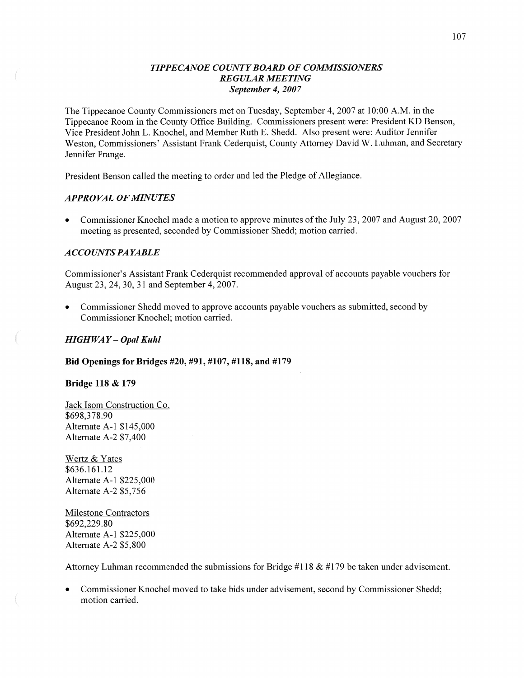## *TIPPE CANOE COUNTY BOARD* OF *COMMISSIONERS REGULAR MEETING September* 4, *2007*

The Tippecanoe County Commissioners met on Tuesday, September 4, 2007 at 10:00 AM. in the Tippecanoe Room in the County Office Building. Commissioners present were: President KD Benson, Vice President John L. Knochel, and Member Ruth E. Shedd. Also present were: Auditor Jennifer Weston, Commissioners' Assistant Frank Cederquist, County Attorney David W. Luhman, and Secretary Jennifer Prange.

President Benson called the meeting to order and led the Pledge of Allegiance.

# *APPROVAL* OF *MINUTES*

**0** Commissioner Knochel made **a** motion to approve minutes of the July 23, 2007 and August 20, 2007 meeting as presented, seconded by Commissioner Shedd; motion carried.

## *A* CCO UN *T S* PA *YABLE*

Commissioner's Assistant Frank Cederquist recommended approval of accounts payable vouchers for August 23, 24, 30, 31 and September 4, 2007.

Commissioner Shedd moved to approve accounts payable vouchers as submitted, second by Commissioner Knochel; motion carried.

## *HIGH* WAY **—** *Opal Kuhl*

## Bid **Openings** for **Bridges #20, #91, #107, #118,** and **#179**

#### **Bridge** 118 **&** 179

 $\mathbb{R}^2$ 

Jack **Isom** Construction Co. \$698,378.90 Alternate A-l \$145,000 Alternate A-Z \$7,400

Wertz & Yates \$636.161.12 Alternate A—l \$225,000 Alternate A-2 \$5,756

Milestone Contractors \$692,229.80 Alternate A-l \$225,000 Alternate A-2 \$5,800

Attorney Luhman recommended the submissions for Bridge #118  $\&$  #179 be taken under advisement.

**0** Commissioner Knochel moved to take bids under advisement, second by Commissioner Shedd; motion carried.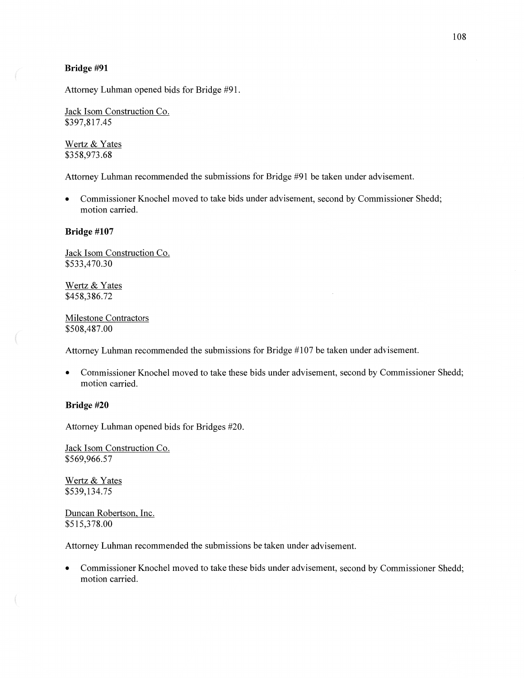#### **Bridge** #91

Attorney **Luhman** opened bids for Bridge **#91.** 

Jack Isom Construction Co. \$397,817.45

Wertz & Yates \$358,973.68

Attorney Luhman recommended the submissions for Bridge #91 be taken under advisement.

**0** Commissioner Knochel moved to take bids under advisement, second by Commissioner Shedd; motion carried.

#### **Bridge #107**

Jack Isom Construction Co. \$533,470.30

Wertz & Yates \$45 8,3 86.72

 $\overline{\mathcal{M}}$ 

Milestone Contractors \$508,487.00

Attorney Luhman recommended the submissions for Bridge #107 be taken under advisement.

• Commissioner Knochel moved to take these bids under advisement, second by Commissioner Shedd; motion carried.

### **Bridge** #20

Attorney Luhman opened bids for Bridges **#20.** 

Jack Isom Construction Co. \$569,966.57

Wertz & Yates \$539,134.75

Duncan Robertson, Inc. \$515,378.00

Attorney Luhman recommended the submissions be taken under advisement.

**0** Commissioner Knochel moved to take these bids under advisement, second by Commissioner Shedd; motion carried.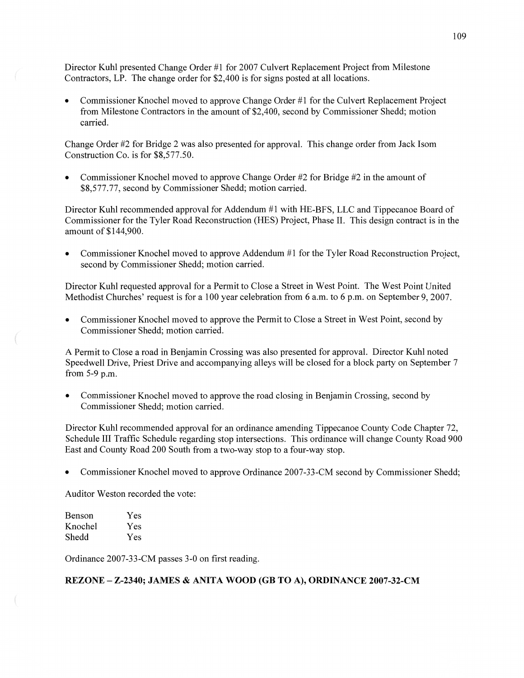Director Kuhl presented Change Order #1 for 2007 Culvert Replacement Project from Milestone Contractors, LP. The change order for \$2,400 is for signs posted at all locations.

**0** Commissioner Knochel moved to approve Change Order #1 for the Culvert Replacement Project from Milestone Contractors in the amount of \$2,400, second by Commissioner Shedd; motion carried.

Change Order #2 for Bridge 2 was also presented for approval. This change order from Jack Isom Construction Co. is for \$8,577.50.

**0** Commissioner Knochel moved to approve Change Order #2 for Bridge #2 in the amount of \$8,577.77, second by Commissioner Shedd; motion carried.

Director Kuhl recommended approval for Addendum #1 with HE-BFS, LLC and Tippecanoe Board of Commissioner for the Tyler **Road** Reconstruction (HES) Project, Phase H. **This** design contract is in the amount of \$144,900.

*0* Commissioner Knochel moved to approve **Addendum** #1 for the Tyler Road Reconstruction Project, second by Commissioner Shedd; motion carried.

Director Kuhl requested approval for a Permit to Close a Street in West **Point.** The West Point United Methodist Churches' request is for a 100 year celebration from 6 a.m. to 6 p.m. on September 9, 2007.

**0** Commissioner Knochel moved to approve the Permit to Close **a** Street in West Point, second by Commissioner Shedd; motion carried.

**A** Permit to Close a road in Benjamin Crossing was also presented for approval. Director Kuhl noted Speedwell Drive, Priest Drive and accompanying alleys will be closed for a block party on September 7 from 5-9 p.m.

**0** Commissioner Knochel moved to approve the road closing in Benjamin Crossing, second by Commissioner Shedd; motion carried.

Director Kuhl recommended approval for an ordinance amending Tippecanoe County Code Chapter 72, Schedule III Traffic Schedule regarding stop intersections. This ordinance will change County Road 900 East and County Road 200 South from a two-way stop to **a** four-way stop.

**0** Commissioner Knochel moved to approve Ordinance 2007-33-CM second by Commissioner Shedd;

Auditor Weston recorded the vote:

| Benson  | Yes |
|---------|-----|
| Knochel | Yes |
| Shedd   | Yes |

Ordinance 2007-33-CM passes 3-0 on first reading.

### **REZONE — Z—2340; JAMES & ANITA WOOD** (GB TO A), **ORDINANCE 2007-32-CM**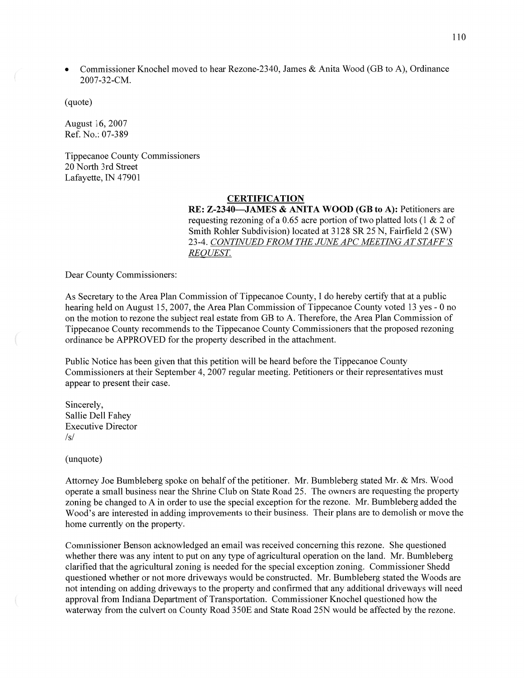**0** Commissioner Knochel moved to hear Rezone-2340, James & Anita Wood (GB to A), Ordinance 2007-32-CM.

(quote)

August 16, 2007 Ref. No.: 07-389

Tippecanoe County Commissioners 20 North 3rd Street Lafayette, IN 47901

#### **CERTIFICATION**

RE: **Z-2340—JAMES & ANITA WOOD** (GB to A): Petitioners are requesting rezoning of a 0.65 acre portion of two platted lots (1 & 2 of Smith Rohler Subdivision) located at 3128 SR 25 N, Fairfield 2 (SW) 23-4. *CONTINUED FROM* THE *JUNE* APC *MEETING* AT *STAFF* '5 *REQUEST.* 

Dear County Commissioners:

As Secretary to the Area Plan Commission of Tippecanoe County, I do hereby certify that at a public hearing held on August 15, 2007, the Area Plan Commission of Tippecanoe County voted 13 yes *-* 0 no on the motion to rezone the subject real estate from GB to A. Therefore, the Area Plan Commission of Tippecanoe County recommends to the Tippecanoe County Commissioners that the proposed rezoning ordinance be APPROVED for the property described in the attachment.

Public Notice has been given that this petition will be heard before the Tippecanoe County Commissioners at their September 4, 2007 regular meeting. Petitioners or their representatives must appear to present their case.

Sincerely, Sallie Dell Fahey Executive Director /s/

(unquote)

Attorney Joe Bumbleberg spoke on behalf of the petitioner. Mr. Bumbleberg stated Mr. & Mrs. Wood operate a small business near the Shrine Club on State Road 25. The owners are requesting the property zoning be changed to **A** in order to use the special exception for the rezone. Mr. Bumbleberg added the Wood's are interested in adding improvements to their business. Their plans are to demolish or move the home currently on the property.

Commissioner Benson acknowledged an email was received concerning this rezone. She questioned whether there was any intent to put on any type of agricultural operation on the land. Mr. Bumbleberg clarified that the agricultural zoning is needed for the special exception zoning. Commissioner Shedd questioned whether or not more driveways would be constructed. Mr. Bumbleberg stated the Woods are not intending on adding driveways to the property and confirmed that any additional driveways will need approval from Indiana Department of Transportation. Commissioner Knochel questioned how the waterway from the culvert on County Road 350E and State Road 25N would be affected by the rezone.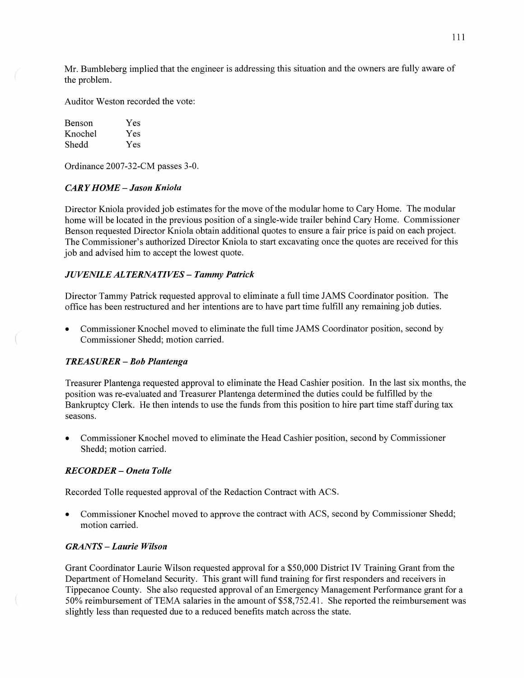Mr. Bumbleberg implied that the engineer is addressing this situation and the owners are fully aware of the problem.

Auditor Weston recorded the vote:

| Benson  | Yes |
|---------|-----|
| Knochel | Yes |
| Shedd   | Yes |

Ordinance 2007-32-CM passes 3-0.

# CAR *Y HOME* **—** *Jason Kniola*

Director Kniola provided job estimates for the move of the modular home to Cary Home. The modular home will be located in the previous position of a single-Wide trailer behind Cary Home. Commissioner Benson requested Director Kniola obtain additional quotes to ensure <sup>a</sup>fair price is paid on each project. The Commissioner's authorized Director Kniola to start excavating once the quotes are received for this job and advised him to accept the lowest quote.

#### *JUVENILE ALTERNATIVES* **—** *Tammy Patrick*

Director Tammy Patrick requested approval to eliminate a full time JAMS Coordinator position. The office has been restructured and her intentions are to have part time fillfill any remaining job duties.

**0** Commissioner Knochel moved to eliminate the full time JAMS Coordinator position, second by Commissioner Shedd; motion carried.

#### *TREASURER* **—** Bob *Plantenga*

Treasurer Plantenga requested approval to eliminate the Head Cashier position. In the last six months, the position was re-evaluated and Treasurer Plantenga determined the duties could be fulfilled by the Bankruptcy Clerk. He **then** intends to use the funds from this position to hire part time staff during tax seasons.

**0** Commissioner Knochel moved to eliminate the Head Cashier position, second by Commissioner Shedd; motion carried.

### *RECORDER* **—** *Oneta Tolle*

Recorded Tolle requested approval of the Redaction Contract with ACS.

**0** Commissioner Knochel moved to approve the contract with ACS, second by Commissioner Shedd; motion carried.

### *GRANTS* — *Laurie Wilson*

Grant Coordinator Laurie Wilson requested approval for **a** \$50,000 District IV Training Grant from the Department of Homeland Security. This grant will fund training for first responders and receivers in Tippecanoe County. She also requested approval of an Emergency Management Performance grant for a 50% reimbursement of TEMA salaries in the amount of \$58,752.41. She reported the reimbursement was slightly **less** than requested due to a reduced benefits match across the state.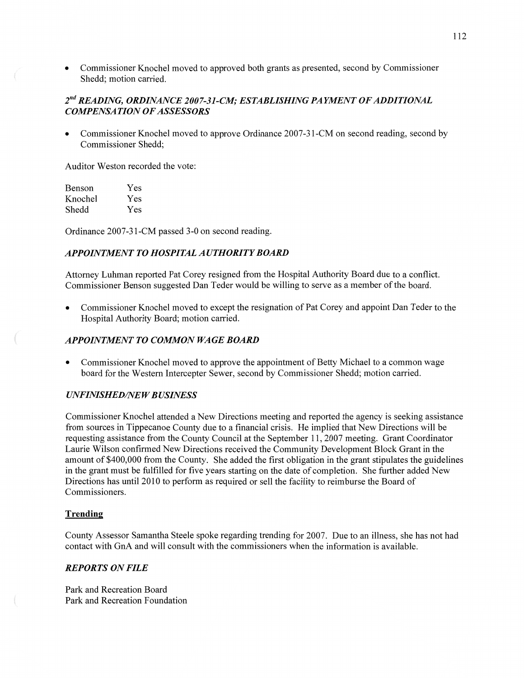**0** Commissioner Knochel moved to approved both grants as presented, second by Commissioner Shedd; motion carried.

# 2"" *READING, ORDINANCE 2007-31-CJII; ESTABLISHING* PA *IMEN T* 0F *ADDITIONAL COMPENSATION* OF *ASSESSORS'*

**0** Commissioner Knochel moved to approve Ordinance 2007-31-CM on second reading, second by Commissioner Shedd;

Auditor Weston recorded the vote:

| Benson  | Yes |
|---------|-----|
| Knochel | Yes |
| Shedd   | Yes |

Ordinance 2007-31-CM passed 3-0 on second reading.

# **APPOINTMENT TO HOSPITAL AUTHORITY BOARD**

Attorney **Luhman** reported Pat Corey resigned from the Hospital Authority Board due to **a** conflict. Commissioner Benson suggested Dan Teder would be willing to serve as a member of the board.

**0** Commissioner Knochel moved to except the resignation of Pat Corey and appoint Dan Teder to the Hospital Authority Board; motion carried.

## *APPOINTMENT* T0 *COMMON WAGE BOARD*

**0** Commissioner Knochel moved to approve the appointment of Betty Michael to a common wage board for the Western Intercepter Sewer, second by Commissioner Shedd; motion carried.

## *UNFINISHED/NEW BUSINESS*

Commissioner Knochel attended **a** New Directions meeting and reported the agency is seeking assistance from sources in Tippecanoe County due to a financial crisis. He implied that New Directions will be requesting assistance from the County Council at the September 11, 2007 meeting. Grant Coordinator Laurie Wilson confirmed New Directions received the Community Development Block Grant in the amount of \$400,000 from the County. She added the first obligation in the grant stipulates the guidelines in the grant must be fulfilled for five years starting on the date of completion. She further added New Directions has until 2010 to perform as required or sell the facility to reimburse the Board of Commissioners.

#### **Trending**

 $\left($ 

County Assessor Samantha Steele spoke regarding trending for 2007. Due to an illness, she has not had contact with GnA and will consult with the commissioners when the information is available.

## *REPORTS* ON *FILE*

Park and Recreation Board Park and Recreation Foundation